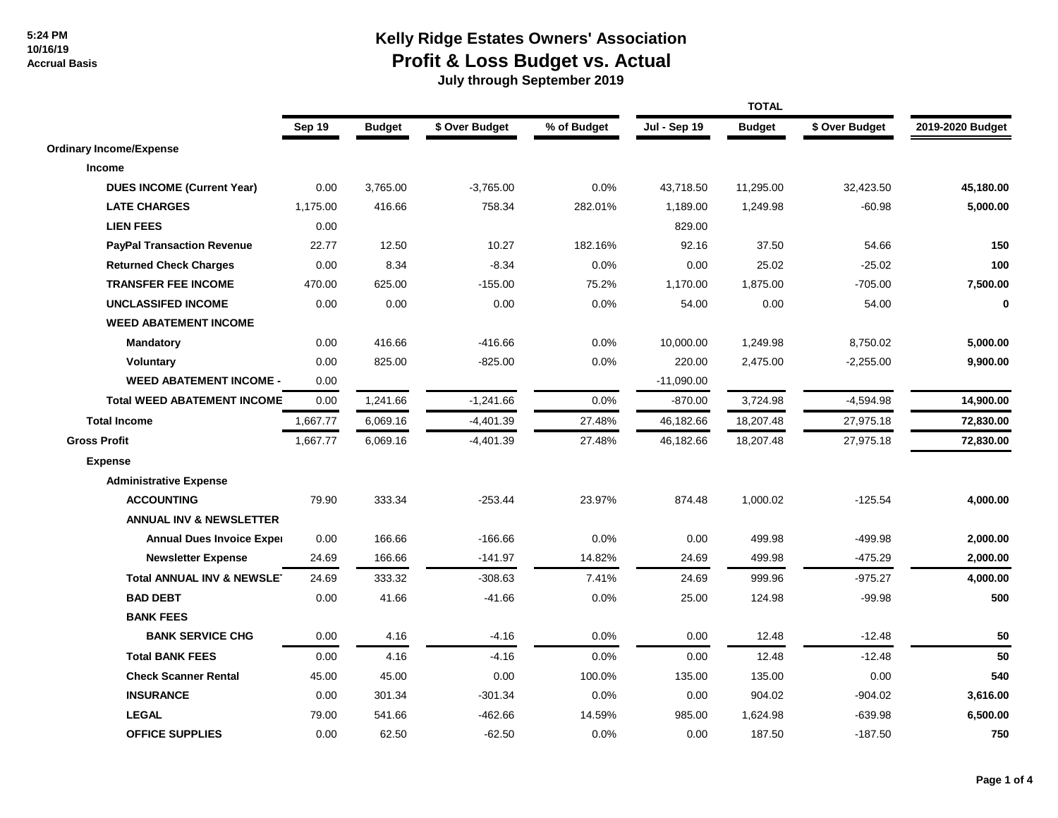## **Kelly Ridge Estates Owners' Association Profit & Loss Budget vs. Actual**

|                                       | Sep 19   | <b>Budget</b> | \$ Over Budget | % of Budget | <b>Jul - Sep 19</b> | <b>Budget</b> | \$ Over Budget | 2019-2020 Budget |
|---------------------------------------|----------|---------------|----------------|-------------|---------------------|---------------|----------------|------------------|
| <b>Ordinary Income/Expense</b>        |          |               |                |             |                     |               |                |                  |
| Income                                |          |               |                |             |                     |               |                |                  |
| <b>DUES INCOME (Current Year)</b>     | 0.00     | 3,765.00      | $-3,765.00$    | 0.0%        | 43,718.50           | 11,295.00     | 32,423.50      | 45,180.00        |
| <b>LATE CHARGES</b>                   | 1,175.00 | 416.66        | 758.34         | 282.01%     | 1,189.00            | 1,249.98      | $-60.98$       | 5,000.00         |
| <b>LIEN FEES</b>                      | 0.00     |               |                |             | 829.00              |               |                |                  |
| <b>PayPal Transaction Revenue</b>     | 22.77    | 12.50         | 10.27          | 182.16%     | 92.16               | 37.50         | 54.66          | 150              |
| <b>Returned Check Charges</b>         | 0.00     | 8.34          | $-8.34$        | 0.0%        | 0.00                | 25.02         | $-25.02$       | 100              |
| <b>TRANSFER FEE INCOME</b>            | 470.00   | 625.00        | $-155.00$      | 75.2%       | 1,170.00            | 1,875.00      | $-705.00$      | 7,500.00         |
| <b>UNCLASSIFED INCOME</b>             | 0.00     | 0.00          | 0.00           | 0.0%        | 54.00               | 0.00          | 54.00          | $\bf{0}$         |
| <b>WEED ABATEMENT INCOME</b>          |          |               |                |             |                     |               |                |                  |
| <b>Mandatory</b>                      | 0.00     | 416.66        | $-416.66$      | 0.0%        | 10,000.00           | 1,249.98      | 8,750.02       | 5,000.00         |
| <b>Voluntary</b>                      | 0.00     | 825.00        | $-825.00$      | 0.0%        | 220.00              | 2,475.00      | $-2,255.00$    | 9,900.00         |
| <b>WEED ABATEMENT INCOME -</b>        | 0.00     |               |                |             | $-11,090.00$        |               |                |                  |
| <b>Total WEED ABATEMENT INCOME</b>    | 0.00     | 1,241.66      | $-1,241.66$    | 0.0%        | $-870.00$           | 3,724.98      | $-4,594.98$    | 14,900.00        |
| <b>Total Income</b>                   | 1,667.77 | 6,069.16      | $-4,401.39$    | 27.48%      | 46,182.66           | 18,207.48     | 27,975.18      | 72,830.00        |
| <b>Gross Profit</b>                   | 1,667.77 | 6,069.16      | $-4,401.39$    | 27.48%      | 46,182.66           | 18,207.48     | 27,975.18      | 72,830.00        |
| <b>Expense</b>                        |          |               |                |             |                     |               |                |                  |
| <b>Administrative Expense</b>         |          |               |                |             |                     |               |                |                  |
| <b>ACCOUNTING</b>                     | 79.90    | 333.34        | $-253.44$      | 23.97%      | 874.48              | 1,000.02      | $-125.54$      | 4,000.00         |
| <b>ANNUAL INV &amp; NEWSLETTER</b>    |          |               |                |             |                     |               |                |                  |
| <b>Annual Dues Invoice Exper</b>      | 0.00     | 166.66        | $-166.66$      | 0.0%        | 0.00                | 499.98        | $-499.98$      | 2,000.00         |
| <b>Newsletter Expense</b>             | 24.69    | 166.66        | $-141.97$      | 14.82%      | 24.69               | 499.98        | $-475.29$      | 2,000.00         |
| <b>Total ANNUAL INV &amp; NEWSLET</b> | 24.69    | 333.32        | $-308.63$      | 7.41%       | 24.69               | 999.96        | $-975.27$      | 4,000.00         |
| <b>BAD DEBT</b>                       | 0.00     | 41.66         | $-41.66$       | 0.0%        | 25.00               | 124.98        | $-99.98$       | 500              |
| <b>BANK FEES</b>                      |          |               |                |             |                     |               |                |                  |
| <b>BANK SERVICE CHG</b>               | 0.00     | 4.16          | $-4.16$        | 0.0%        | 0.00                | 12.48         | $-12.48$       | 50               |
| <b>Total BANK FEES</b>                | 0.00     | 4.16          | $-4.16$        | 0.0%        | 0.00                | 12.48         | $-12.48$       | 50               |
| <b>Check Scanner Rental</b>           | 45.00    | 45.00         | 0.00           | 100.0%      | 135.00              | 135.00        | 0.00           | 540              |
| <b>INSURANCE</b>                      | 0.00     | 301.34        | $-301.34$      | 0.0%        | 0.00                | 904.02        | $-904.02$      | 3,616.00         |
| <b>LEGAL</b>                          | 79.00    | 541.66        | $-462.66$      | 14.59%      | 985.00              | 1,624.98      | $-639.98$      | 6,500.00         |
| <b>OFFICE SUPPLIES</b>                | 0.00     | 62.50         | $-62.50$       | 0.0%        | 0.00                | 187.50        | $-187.50$      | 750              |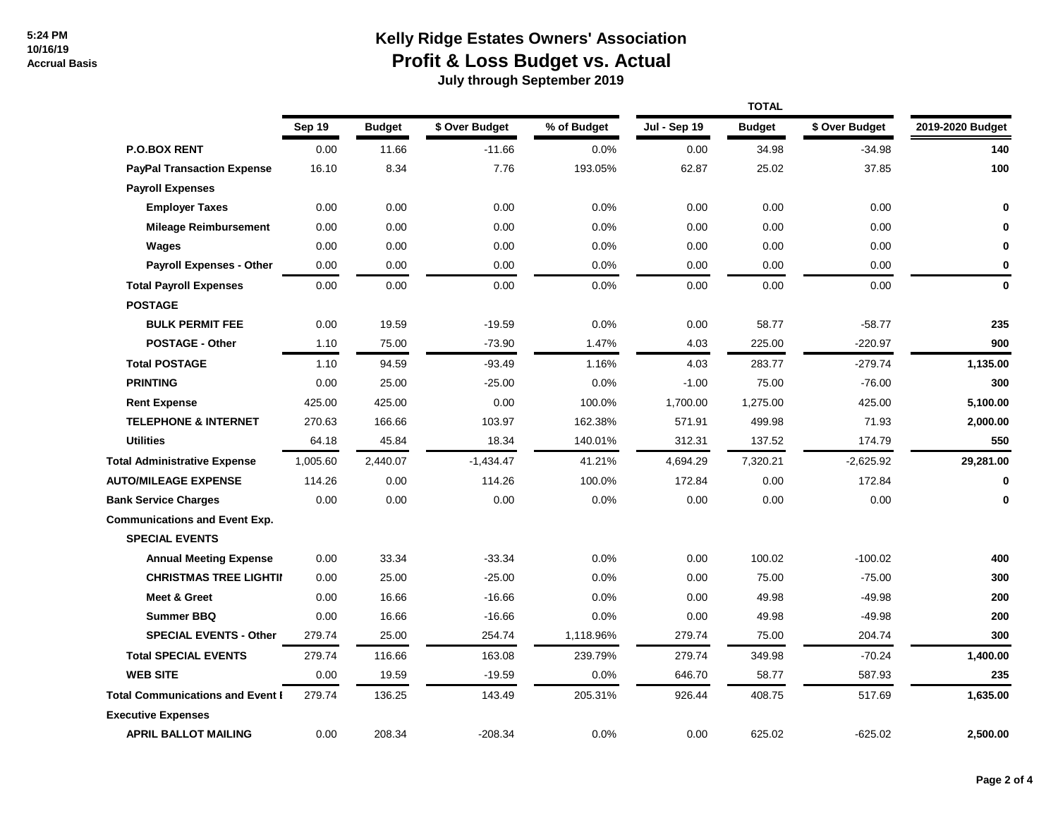## **Kelly Ridge Estates Owners' Association Profit & Loss Budget vs. Actual**

|                                         |          |               |                | <b>TOTAL</b> |              |               |                |                  |
|-----------------------------------------|----------|---------------|----------------|--------------|--------------|---------------|----------------|------------------|
|                                         | Sep 19   | <b>Budget</b> | \$ Over Budget | % of Budget  | Jul - Sep 19 | <b>Budget</b> | \$ Over Budget | 2019-2020 Budget |
| <b>P.O.BOX RENT</b>                     | 0.00     | 11.66         | $-11.66$       | 0.0%         | 0.00         | 34.98         | $-34.98$       | 140              |
| <b>PayPal Transaction Expense</b>       | 16.10    | 8.34          | 7.76           | 193.05%      | 62.87        | 25.02         | 37.85          | 100              |
| <b>Payroll Expenses</b>                 |          |               |                |              |              |               |                |                  |
| <b>Employer Taxes</b>                   | 0.00     | 0.00          | 0.00           | 0.0%         | 0.00         | 0.00          | 0.00           | 0                |
| <b>Mileage Reimbursement</b>            | 0.00     | 0.00          | 0.00           | 0.0%         | 0.00         | 0.00          | 0.00           | 0                |
| Wages                                   | 0.00     | 0.00          | 0.00           | 0.0%         | 0.00         | 0.00          | 0.00           | 0                |
| <b>Payroll Expenses - Other</b>         | 0.00     | 0.00          | 0.00           | 0.0%         | 0.00         | 0.00          | 0.00           | 0                |
| <b>Total Payroll Expenses</b>           | 0.00     | 0.00          | 0.00           | 0.0%         | 0.00         | 0.00          | 0.00           | $\mathbf 0$      |
| <b>POSTAGE</b>                          |          |               |                |              |              |               |                |                  |
| <b>BULK PERMIT FEE</b>                  | 0.00     | 19.59         | $-19.59$       | 0.0%         | 0.00         | 58.77         | $-58.77$       | 235              |
| <b>POSTAGE - Other</b>                  | 1.10     | 75.00         | $-73.90$       | 1.47%        | 4.03         | 225.00        | $-220.97$      | 900              |
| <b>Total POSTAGE</b>                    | 1.10     | 94.59         | $-93.49$       | 1.16%        | 4.03         | 283.77        | $-279.74$      | 1,135.00         |
| <b>PRINTING</b>                         | 0.00     | 25.00         | $-25.00$       | 0.0%         | $-1.00$      | 75.00         | $-76.00$       | 300              |
| <b>Rent Expense</b>                     | 425.00   | 425.00        | 0.00           | 100.0%       | 1,700.00     | 1,275.00      | 425.00         | 5,100.00         |
| <b>TELEPHONE &amp; INTERNET</b>         | 270.63   | 166.66        | 103.97         | 162.38%      | 571.91       | 499.98        | 71.93          | 2,000.00         |
| <b>Utilities</b>                        | 64.18    | 45.84         | 18.34          | 140.01%      | 312.31       | 137.52        | 174.79         | 550              |
| <b>Total Administrative Expense</b>     | 1,005.60 | 2,440.07      | $-1,434.47$    | 41.21%       | 4,694.29     | 7,320.21      | $-2,625.92$    | 29,281.00        |
| <b>AUTO/MILEAGE EXPENSE</b>             | 114.26   | 0.00          | 114.26         | 100.0%       | 172.84       | 0.00          | 172.84         | $\mathbf{0}$     |
| <b>Bank Service Charges</b>             | 0.00     | 0.00          | 0.00           | 0.0%         | 0.00         | 0.00          | 0.00           | 0                |
| <b>Communications and Event Exp.</b>    |          |               |                |              |              |               |                |                  |
| <b>SPECIAL EVENTS</b>                   |          |               |                |              |              |               |                |                  |
| <b>Annual Meeting Expense</b>           | 0.00     | 33.34         | $-33.34$       | 0.0%         | 0.00         | 100.02        | $-100.02$      | 400              |
| <b>CHRISTMAS TREE LIGHTII</b>           | 0.00     | 25.00         | $-25.00$       | 0.0%         | 0.00         | 75.00         | $-75.00$       | 300              |
| <b>Meet &amp; Greet</b>                 | 0.00     | 16.66         | $-16.66$       | 0.0%         | 0.00         | 49.98         | $-49.98$       | 200              |
| <b>Summer BBQ</b>                       | 0.00     | 16.66         | $-16.66$       | 0.0%         | 0.00         | 49.98         | $-49.98$       | 200              |
| <b>SPECIAL EVENTS - Other</b>           | 279.74   | 25.00         | 254.74         | 1,118.96%    | 279.74       | 75.00         | 204.74         | 300              |
| <b>Total SPECIAL EVENTS</b>             | 279.74   | 116.66        | 163.08         | 239.79%      | 279.74       | 349.98        | $-70.24$       | 1,400.00         |
| <b>WEB SITE</b>                         | 0.00     | 19.59         | $-19.59$       | 0.0%         | 646.70       | 58.77         | 587.93         | 235              |
| <b>Total Communications and Event I</b> | 279.74   | 136.25        | 143.49         | 205.31%      | 926.44       | 408.75        | 517.69         | 1,635.00         |
| <b>Executive Expenses</b>               |          |               |                |              |              |               |                |                  |
| <b>APRIL BALLOT MAILING</b>             | 0.00     | 208.34        | $-208.34$      | 0.0%         | 0.00         | 625.02        | $-625.02$      | 2,500.00         |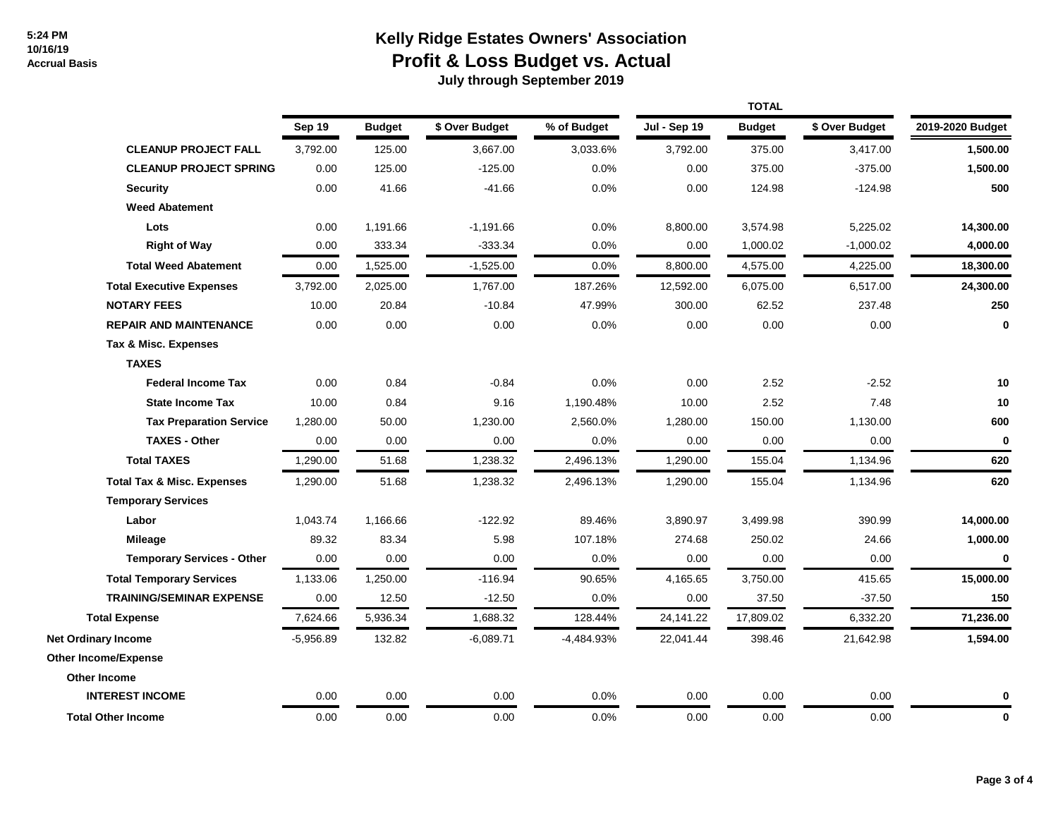## **Kelly Ridge Estates Owners' Association Profit & Loss Budget vs. Actual**

|                                       | Sep 19      | <b>Budget</b> | \$ Over Budget | % of Budget | Jul - Sep 19 | <b>Budget</b> | \$ Over Budget | 2019-2020 Budget |
|---------------------------------------|-------------|---------------|----------------|-------------|--------------|---------------|----------------|------------------|
| <b>CLEANUP PROJECT FALL</b>           | 3,792.00    | 125.00        | 3,667.00       | 3,033.6%    | 3,792.00     | 375.00        | 3,417.00       | 1,500.00         |
| <b>CLEANUP PROJECT SPRING</b>         | 0.00        | 125.00        | $-125.00$      | 0.0%        | 0.00         | 375.00        | $-375.00$      | 1,500.00         |
| <b>Security</b>                       | 0.00        | 41.66         | $-41.66$       | 0.0%        | 0.00         | 124.98        | $-124.98$      | 500              |
| <b>Weed Abatement</b>                 |             |               |                |             |              |               |                |                  |
| Lots                                  | 0.00        | 1,191.66      | $-1,191.66$    | 0.0%        | 8,800.00     | 3,574.98      | 5,225.02       | 14,300.00        |
| <b>Right of Way</b>                   | 0.00        | 333.34        | $-333.34$      | 0.0%        | 0.00         | 1,000.02      | $-1,000.02$    | 4,000.00         |
| <b>Total Weed Abatement</b>           | 0.00        | 1,525.00      | $-1,525.00$    | 0.0%        | 8,800.00     | 4,575.00      | 4,225.00       | 18,300.00        |
| <b>Total Executive Expenses</b>       | 3,792.00    | 2,025.00      | 1,767.00       | 187.26%     | 12,592.00    | 6,075.00      | 6,517.00       | 24,300.00        |
| <b>NOTARY FEES</b>                    | 10.00       | 20.84         | $-10.84$       | 47.99%      | 300.00       | 62.52         | 237.48         | 250              |
| <b>REPAIR AND MAINTENANCE</b>         | 0.00        | 0.00          | 0.00           | 0.0%        | 0.00         | 0.00          | 0.00           | 0                |
| Tax & Misc. Expenses                  |             |               |                |             |              |               |                |                  |
| <b>TAXES</b>                          |             |               |                |             |              |               |                |                  |
| <b>Federal Income Tax</b>             | 0.00        | 0.84          | $-0.84$        | 0.0%        | 0.00         | 2.52          | $-2.52$        | 10               |
| <b>State Income Tax</b>               | 10.00       | 0.84          | 9.16           | 1,190.48%   | 10.00        | 2.52          | 7.48           | 10               |
| <b>Tax Preparation Service</b>        | 1,280.00    | 50.00         | 1,230.00       | 2,560.0%    | 1,280.00     | 150.00        | 1,130.00       | 600              |
| <b>TAXES - Other</b>                  | 0.00        | 0.00          | 0.00           | $0.0\%$     | 0.00         | 0.00          | 0.00           | $\bf{0}$         |
| <b>Total TAXES</b>                    | 1,290.00    | 51.68         | 1,238.32       | 2,496.13%   | 1,290.00     | 155.04        | 1,134.96       | 620              |
| <b>Total Tax &amp; Misc. Expenses</b> | 1,290.00    | 51.68         | 1,238.32       | 2,496.13%   | 1,290.00     | 155.04        | 1,134.96       | 620              |
| <b>Temporary Services</b>             |             |               |                |             |              |               |                |                  |
| Labor                                 | 1,043.74    | 1,166.66      | $-122.92$      | 89.46%      | 3,890.97     | 3,499.98      | 390.99         | 14,000.00        |
| Mileage                               | 89.32       | 83.34         | 5.98           | 107.18%     | 274.68       | 250.02        | 24.66          | 1,000.00         |
| <b>Temporary Services - Other</b>     | 0.00        | 0.00          | 0.00           | 0.0%        | 0.00         | 0.00          | 0.00           | $\mathbf 0$      |
| <b>Total Temporary Services</b>       | 1,133.06    | 1,250.00      | $-116.94$      | 90.65%      | 4,165.65     | 3,750.00      | 415.65         | 15,000.00        |
| <b>TRAINING/SEMINAR EXPENSE</b>       | 0.00        | 12.50         | $-12.50$       | 0.0%        | 0.00         | 37.50         | $-37.50$       | 150              |
| <b>Total Expense</b>                  | 7,624.66    | 5,936.34      | 1,688.32       | 128.44%     | 24,141.22    | 17,809.02     | 6,332.20       | 71,236.00        |
| <b>Net Ordinary Income</b>            | $-5,956.89$ | 132.82        | $-6,089.71$    | -4,484.93%  | 22,041.44    | 398.46        | 21,642.98      | 1,594.00         |
| <b>Other Income/Expense</b>           |             |               |                |             |              |               |                |                  |
| Other Income                          |             |               |                |             |              |               |                |                  |
| <b>INTEREST INCOME</b>                | 0.00        | 0.00          | 0.00           | $0.0\%$     | 0.00         | 0.00          | 0.00           | 0                |
| <b>Total Other Income</b>             | 0.00        | 0.00          | 0.00           | 0.0%        | 0.00         | 0.00          | 0.00           | 0                |
|                                       |             |               |                |             |              |               |                |                  |